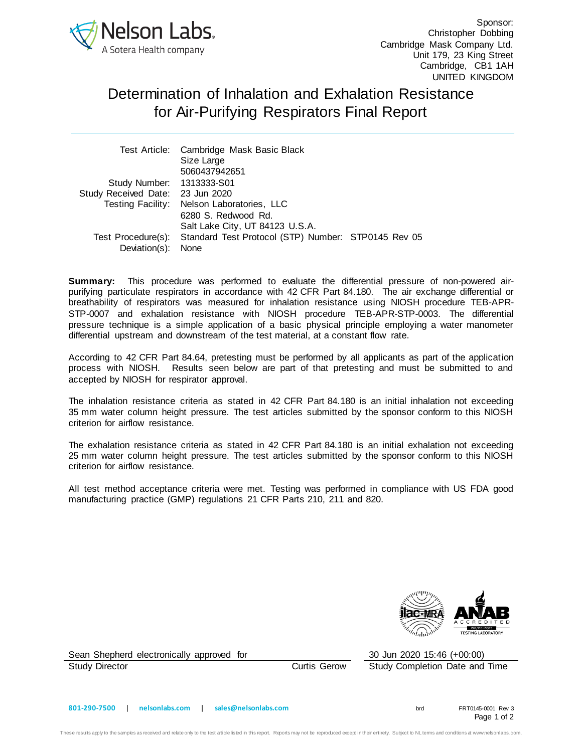

Sponsor: Christopher Dobbing Cambridge Mask Company Ltd. Unit 179, 23 King Street Cambridge, CB1 1AH UNITED KINGDOM

## Determination of Inhalation and Exhalation Resistance for Air-Purifying Respirators Final Report

|                                  | Test Article: Cambridge Mask Basic Black                               |  |
|----------------------------------|------------------------------------------------------------------------|--|
|                                  | Size Large                                                             |  |
|                                  | 5060437942651                                                          |  |
| Study Number: 1313333-S01        |                                                                        |  |
| Study Received Date: 23 Jun 2020 |                                                                        |  |
|                                  | Testing Facility: Nelson Laboratories, LLC                             |  |
|                                  | 6280 S. Redwood Rd.                                                    |  |
|                                  | Salt Lake City, UT 84123 U.S.A.                                        |  |
|                                  | Test Procedure(s): Standard Test Protocol (STP) Number: STP0145 Rev 05 |  |
| Deviation(s):                    | None                                                                   |  |

**Summary:** This procedure was performed to evaluate the differential pressure of non-powered airpurifying particulate respirators in accordance with 42 CFR Part 84.180. The air exchange differential or breathability of respirators was measured for inhalation resistance using NIOSH procedure TEB-APR-STP-0007 and exhalation resistance with NIOSH procedure TEB-APR-STP-0003. The differential pressure technique is a simple application of a basic physical principle employing a water manometer differential upstream and downstream of the test material, at a constant flow rate.

According to 42 CFR Part 84.64, pretesting must be performed by all applicants as part of the application process with NIOSH. Results seen below are part of that pretesting and must be submitted to and accepted by NIOSH for respirator approval.

The inhalation resistance criteria as stated in 42 CFR Part 84.180 is an initial inhalation not exceeding 35 mm water column height pressure. The test articles submitted by the sponsor conform to this NIOSH criterion for airflow resistance.

The exhalation resistance criteria as stated in 42 CFR Part 84.180 is an initial exhalation not exceeding 25 mm water column height pressure. The test articles submitted by the sponsor conform to this NIOSH criterion for airflow resistance.

All test method acceptance criteria were met. Testing was performed in compliance with US FDA good manufacturing practice (GMP) regulations 21 CFR Parts 210, 211 and 820.



Sean Shepherd electronically approved for 30 Jun 2020 15:46 (+00:00) Study Director Curtis Gerow Study Completion Date and Time

Page 1 of 2